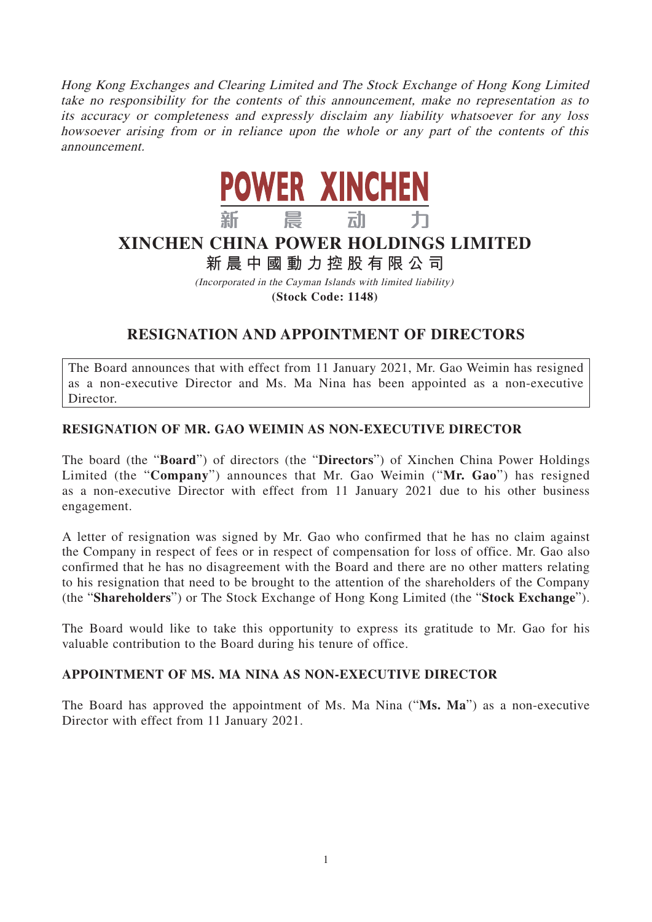Hong Kong Exchanges and Clearing Limited and The Stock Exchange of Hong Kong Limited take no responsibility for the contents of this announcement, make no representation as to its accuracy or completeness and expressly disclaim any liability whatsoever for any loss howsoever arising from or in reliance upon the whole or any part of the contents of this announcement.



# **XINCHEN CHINA POWER HOLDINGS LIMITED**

## **新晨中國動力控股有限公 司**

(Incorporated in the Cayman Islands with limited liability) **(Stock Code: 1148)**

### **RESIGNATION AND APPOINTMENT OF DIRECTORS**

The Board announces that with effect from 11 January 2021, Mr. Gao Weimin has resigned as a non-executive Director and Ms. Ma Nina has been appointed as a non-executive Director.

### **RESIGNATION OF MR. GAO WEIMIN AS NON-EXECUTIVE DIRECTOR**

The board (the "**Board**") of directors (the "**Directors**") of Xinchen China Power Holdings Limited (the "**Company**") announces that Mr. Gao Weimin ("**Mr. Gao**") has resigned as a non-executive Director with effect from 11 January 2021 due to his other business engagement.

A letter of resignation was signed by Mr. Gao who confirmed that he has no claim against the Company in respect of fees or in respect of compensation for loss of office. Mr. Gao also confirmed that he has no disagreement with the Board and there are no other matters relating to his resignation that need to be brought to the attention of the shareholders of the Company (the "**Shareholders**") or The Stock Exchange of Hong Kong Limited (the "**Stock Exchange**").

The Board would like to take this opportunity to express its gratitude to Mr. Gao for his valuable contribution to the Board during his tenure of office.

### **APPOINTMENT OF MS. MA NINA AS NON-EXECUTIVE DIRECTOR**

The Board has approved the appointment of Ms. Ma Nina ("**Ms. Ma**") as a non-executive Director with effect from 11 January 2021.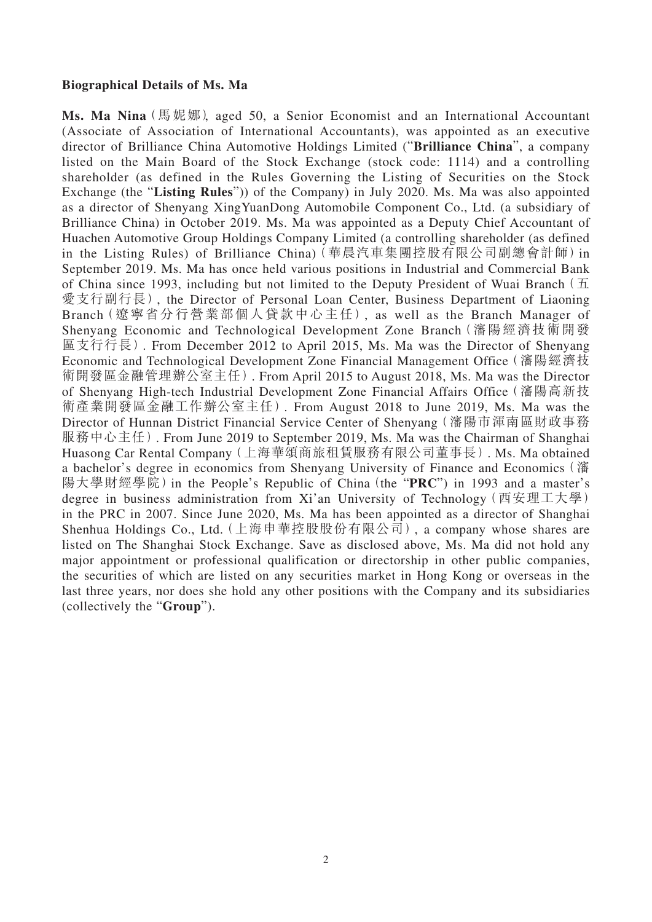#### **Biographical Details of Ms. Ma**

**Ms. Ma Nina**(馬妮娜), aged 50, a Senior Economist and an International Accountant (Associate of Association of International Accountants), was appointed as an executive director of Brilliance China Automotive Holdings Limited ("**Brilliance China**", a company listed on the Main Board of the Stock Exchange (stock code: 1114) and a controlling shareholder (as defined in the Rules Governing the Listing of Securities on the Stock Exchange (the "**Listing Rules**")) of the Company) in July 2020. Ms. Ma was also appointed as a director of Shenyang XingYuanDong Automobile Component Co., Ltd. (a subsidiary of Brilliance China) in October 2019. Ms. Ma was appointed as a Deputy Chief Accountant of Huachen Automotive Group Holdings Company Limited (a controlling shareholder (as defined in the Listing Rules) of Brilliance China)(華晨汽車集團控股有限公司副總會計師)in September 2019. Ms. Ma has once held various positions in Industrial and Commercial Bank of China since 1993, including but not limited to the Deputy President of Wuai Branch  $(\pm 1)$ 愛支行副行長), the Director of Personal Loan Center, Business Department of Liaoning Branch(遼寧省分行營業部個人貸款中心主任), as well as the Branch Manager of Shenyang Economic and Technological Development Zone Branch(瀋陽經濟技術開發 區支行行長). From December 2012 to April 2015, Ms. Ma was the Director of Shenyang Economic and Technological Development Zone Financial Management Office(瀋陽經濟技 術開發區金融管理辦公室主任). From April 2015 to August 2018, Ms. Ma was the Director of Shenyang High-tech Industrial Development Zone Financial Affairs Office(瀋陽高新技 術產業開發區金融工作辦公室主任). From August 2018 to June 2019, Ms. Ma was the Director of Hunnan District Financial Service Center of Shenyang(瀋陽市渾南區財政事務 服務中心主任). From June 2019 to September 2019, Ms. Ma was the Chairman of Shanghai Huasong Car Rental Company(上海華頌商旅租賃服務有限公司董事長). Ms. Ma obtained a bachelor's degree in economics from Shenyang University of Finance and Economics(瀋 陽大學財經學院)in the People's Republic of China(the "**PRC**") in 1993 and a master's degree in business administration from Xi'an University of Technology(西安理工大學) in the PRC in 2007. Since June 2020, Ms. Ma has been appointed as a director of Shanghai Shenhua Holdings Co., Ltd.(上海申華控股股份有限公司), a company whose shares are listed on The Shanghai Stock Exchange. Save as disclosed above, Ms. Ma did not hold any major appointment or professional qualification or directorship in other public companies, the securities of which are listed on any securities market in Hong Kong or overseas in the last three years, nor does she hold any other positions with the Company and its subsidiaries (collectively the "**Group**").